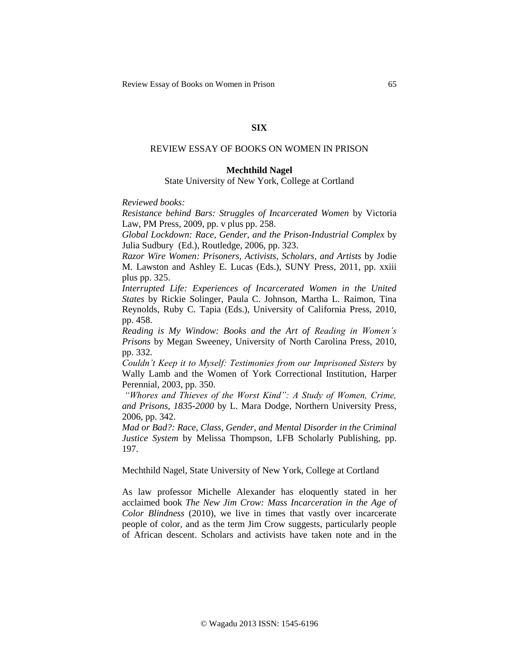## **SIX**

# REVIEW ESSAY OF BOOKS ON WOMEN IN PRISON

### **Mechthild Nagel**

### State University of New York, College at Cortland

*Reviewed books:*

*Resistance behind Bars: Struggles of Incarcerated Women* by Victoria Law, PM Press, 2009, pp. v plus pp. 258.

*Global Lockdown: Race, Gender, and the Prison-Industrial Complex* by Julia Sudbury (Ed.), Routledge, 2006, pp. 323.

*Razor Wire Women: Prisoners, Activists, Scholars, and Artists* by Jodie M. Lawston and Ashley E. Lucas (Eds.), SUNY Press, 2011, pp. xxiii plus pp. 325.

*Interrupted Life: Experiences of Incarcerated Women in the United States* by Rickie Solinger, Paula C. Johnson, Martha L. Raimon, Tina Reynolds, Ruby C. Tapia (Eds.), University of California Press, 2010, pp. 458.

*Reading is My Window: Books and the Art of Reading in Women's Prisons* by Megan Sweeney, University of North Carolina Press, 2010, pp. 332.

*Couldn't Keep it to Myself: Testimonies from our Imprisoned Sisters* by Wally Lamb and the Women of York Correctional Institution, Harper Perennial, 2003, pp. 350.

*"Whores and Thieves of the Worst Kind": A Study of Women, Crime, and Prisons, 1835-2000* by L. Mara Dodge, Northern University Press, 2006, pp. 342.

*Mad or Bad?: Race, Class, Gender, and Mental Disorder in the Criminal Justice System* by Melissa Thompson, LFB Scholarly Publishing, pp. 197.

Mechthild Nagel, State University of New York, College at Cortland

As law professor Michelle Alexander has eloquently stated in her acclaimed book *The New Jim Crow: Mass Incarceration in the Age of Color Blindness* (2010), we live in times that vastly over incarcerate people of color, and as the term Jim Crow suggests, particularly people of African descent. Scholars and activists have taken note and in the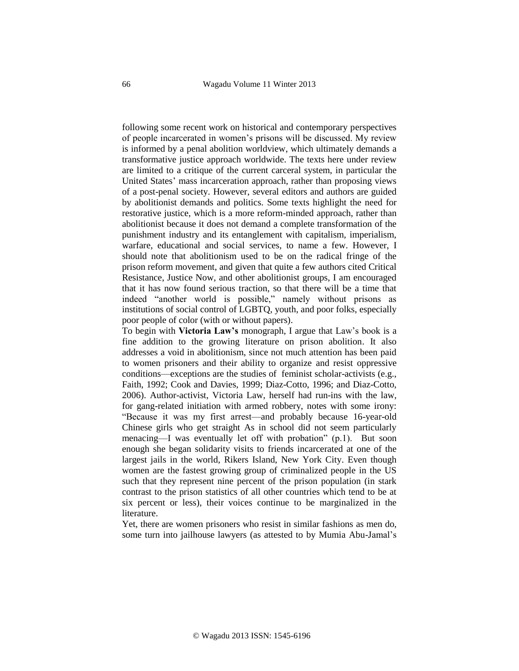following some recent work on historical and contemporary perspectives of people incarcerated in women's prisons will be discussed. My review is informed by a penal abolition worldview, which ultimately demands a transformative justice approach worldwide. The texts here under review are limited to a critique of the current carceral system, in particular the United States' mass incarceration approach, rather than proposing views of a post-penal society. However, several editors and authors are guided by abolitionist demands and politics. Some texts highlight the need for restorative justice, which is a more reform-minded approach, rather than abolitionist because it does not demand a complete transformation of the punishment industry and its entanglement with capitalism, imperialism, warfare, educational and social services, to name a few. However, I should note that abolitionism used to be on the radical fringe of the prison reform movement, and given that quite a few authors cited Critical Resistance, Justice Now, and other abolitionist groups, I am encouraged that it has now found serious traction, so that there will be a time that indeed "another world is possible," namely without prisons as institutions of social control of LGBTQ, youth, and poor folks, especially poor people of color (with or without papers).

To begin with **Victoria Law's** monograph, I argue that Law's book is a fine addition to the growing literature on prison abolition. It also addresses a void in abolitionism, since not much attention has been paid to women prisoners and their ability to organize and resist oppressive conditions—exceptions are the studies of feminist scholar-activists (e.g., Faith, 1992; Cook and Davies, 1999; Diaz-Cotto, 1996; and Diaz-Cotto, 2006). Author-activist, Victoria Law, herself had run-ins with the law, for gang-related initiation with armed robbery, notes with some irony: "Because it was my first arrest—and probably because 16-year-old Chinese girls who get straight As in school did not seem particularly menacing—I was eventually let off with probation" (p.1). But soon enough she began solidarity visits to friends incarcerated at one of the largest jails in the world, Rikers Island, New York City. Even though women are the fastest growing group of criminalized people in the US such that they represent nine percent of the prison population (in stark contrast to the prison statistics of all other countries which tend to be at six percent or less), their voices continue to be marginalized in the literature.

Yet, there are women prisoners who resist in similar fashions as men do, some turn into jailhouse lawyers (as attested to by Mumia Abu-Jamal's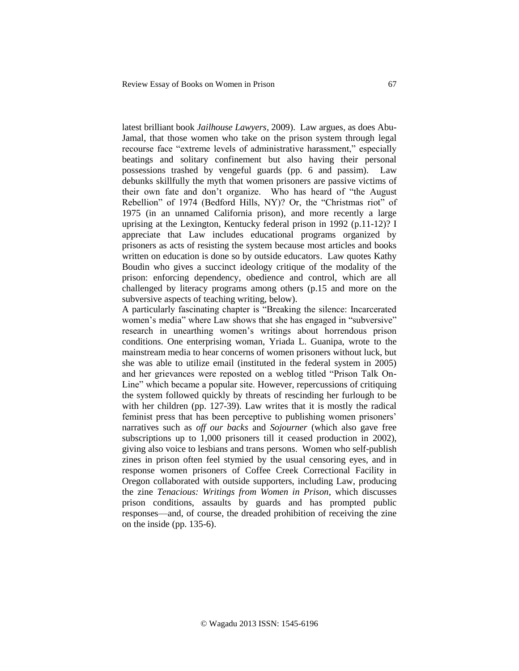latest brilliant book *Jailhouse Lawyers,* 2009). Law argues, as does Abu-Jamal, that those women who take on the prison system through legal recourse face "extreme levels of administrative harassment," especially beatings and solitary confinement but also having their personal possessions trashed by vengeful guards (pp. 6 and passim). Law debunks skillfully the myth that women prisoners are passive victims of their own fate and don't organize. Who has heard of "the August Rebellion" of 1974 (Bedford Hills, NY)? Or, the "Christmas riot" of 1975 (in an unnamed California prison), and more recently a large uprising at the Lexington, Kentucky federal prison in 1992 (p.11-12)? I appreciate that Law includes educational programs organized by prisoners as acts of resisting the system because most articles and books written on education is done so by outside educators. Law quotes Kathy Boudin who gives a succinct ideology critique of the modality of the prison: enforcing dependency, obedience and control, which are all challenged by literacy programs among others (p.15 and more on the subversive aspects of teaching writing, below).

A particularly fascinating chapter is "Breaking the silence: Incarcerated women's media" where Law shows that she has engaged in "subversive" research in unearthing women's writings about horrendous prison conditions. One enterprising woman, Yriada L. Guanipa, wrote to the mainstream media to hear concerns of women prisoners without luck, but she was able to utilize email (instituted in the federal system in 2005) and her grievances were reposted on a weblog titled "Prison Talk On-Line" which became a popular site. However, repercussions of critiquing the system followed quickly by threats of rescinding her furlough to be with her children (pp. 127-39). Law writes that it is mostly the radical feminist press that has been perceptive to publishing women prisoners' narratives such as *off our backs* and *Sojourner* (which also gave free subscriptions up to 1,000 prisoners till it ceased production in 2002), giving also voice to lesbians and trans persons. Women who self-publish zines in prison often feel stymied by the usual censoring eyes, and in response women prisoners of Coffee Creek Correctional Facility in Oregon collaborated with outside supporters, including Law, producing the zine *Tenacious: Writings from Women in Prison*, which discusses prison conditions, assaults by guards and has prompted public responses—and, of course, the dreaded prohibition of receiving the zine on the inside (pp. 135-6).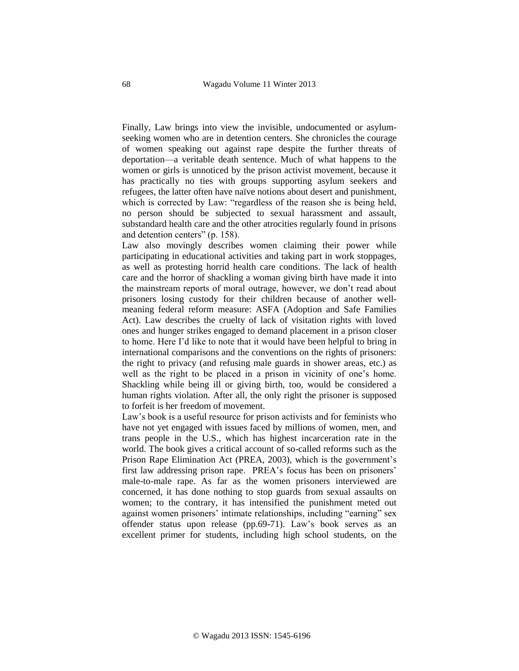Finally, Law brings into view the invisible, undocumented or asylumseeking women who are in detention centers. She chronicles the courage of women speaking out against rape despite the further threats of deportation—a veritable death sentence. Much of what happens to the women or girls is unnoticed by the prison activist movement, because it has practically no ties with groups supporting asylum seekers and refugees, the latter often have naïve notions about desert and punishment, which is corrected by Law: "regardless of the reason she is being held, no person should be subjected to sexual harassment and assault, substandard health care and the other atrocities regularly found in prisons and detention centers" (p. 158).

Law also movingly describes women claiming their power while participating in educational activities and taking part in work stoppages, as well as protesting horrid health care conditions. The lack of health care and the horror of shackling a woman giving birth have made it into the mainstream reports of moral outrage, however, we don't read about prisoners losing custody for their children because of another wellmeaning federal reform measure: ASFA (Adoption and Safe Families Act). Law describes the cruelty of lack of visitation rights with loved ones and hunger strikes engaged to demand placement in a prison closer to home. Here I'd like to note that it would have been helpful to bring in international comparisons and the conventions on the rights of prisoners: the right to privacy (and refusing male guards in shower areas, etc.) as well as the right to be placed in a prison in vicinity of one's home. Shackling while being ill or giving birth, too, would be considered a human rights violation. After all, the only right the prisoner is supposed to forfeit is her freedom of movement.

Law's book is a useful resource for prison activists and for feminists who have not yet engaged with issues faced by millions of women, men, and trans people in the U.S., which has highest incarceration rate in the world. The book gives a critical account of so-called reforms such as the Prison Rape Elimination Act (PREA, 2003), which is the government's first law addressing prison rape. PREA's focus has been on prisoners' male-to-male rape. As far as the women prisoners interviewed are concerned, it has done nothing to stop guards from sexual assaults on women; to the contrary, it has intensified the punishment meted out against women prisoners' intimate relationships, including "earning" sex offender status upon release (pp.69-71). Law's book serves as an excellent primer for students, including high school students, on the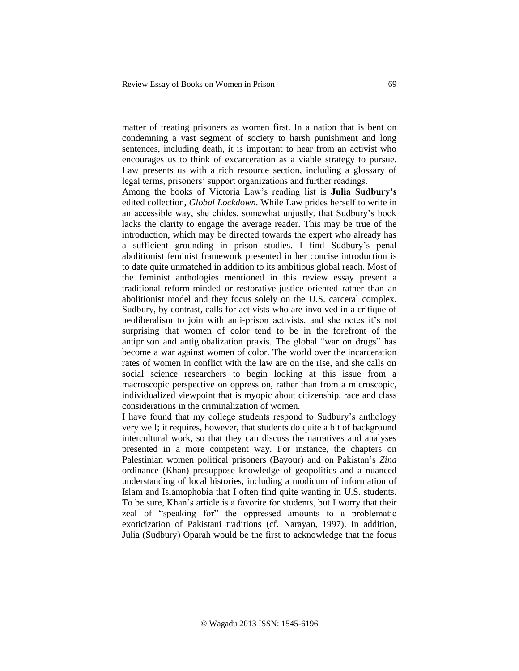matter of treating prisoners as women first. In a nation that is bent on condemning a vast segment of society to harsh punishment and long sentences, including death, it is important to hear from an activist who encourages us to think of excarceration as a viable strategy to pursue. Law presents us with a rich resource section, including a glossary of legal terms, prisoners' support organizations and further readings.

Among the books of Victoria Law's reading list is **Julia Sudbury's** edited collection, *Global Lockdown*. While Law prides herself to write in an accessible way, she chides, somewhat unjustly, that Sudbury's book lacks the clarity to engage the average reader. This may be true of the introduction, which may be directed towards the expert who already has a sufficient grounding in prison studies. I find Sudbury's penal abolitionist feminist framework presented in her concise introduction is to date quite unmatched in addition to its ambitious global reach. Most of the feminist anthologies mentioned in this review essay present a traditional reform-minded or restorative-justice oriented rather than an abolitionist model and they focus solely on the U.S. carceral complex. Sudbury, by contrast, calls for activists who are involved in a critique of neoliberalism to join with anti-prison activists, and she notes it's not surprising that women of color tend to be in the forefront of the antiprison and antiglobalization praxis. The global "war on drugs" has become a war against women of color. The world over the incarceration rates of women in conflict with the law are on the rise, and she calls on social science researchers to begin looking at this issue from a macroscopic perspective on oppression, rather than from a microscopic, individualized viewpoint that is myopic about citizenship, race and class considerations in the criminalization of women.

I have found that my college students respond to Sudbury's anthology very well; it requires, however, that students do quite a bit of background intercultural work, so that they can discuss the narratives and analyses presented in a more competent way. For instance, the chapters on Palestinian women political prisoners (Bayour) and on Pakistan's *Zina* ordinance (Khan) presuppose knowledge of geopolitics and a nuanced understanding of local histories, including a modicum of information of Islam and Islamophobia that I often find quite wanting in U.S. students. To be sure, Khan's article is a favorite for students, but I worry that their zeal of "speaking for" the oppressed amounts to a problematic exoticization of Pakistani traditions (cf. Narayan, 1997). In addition, Julia (Sudbury) Oparah would be the first to acknowledge that the focus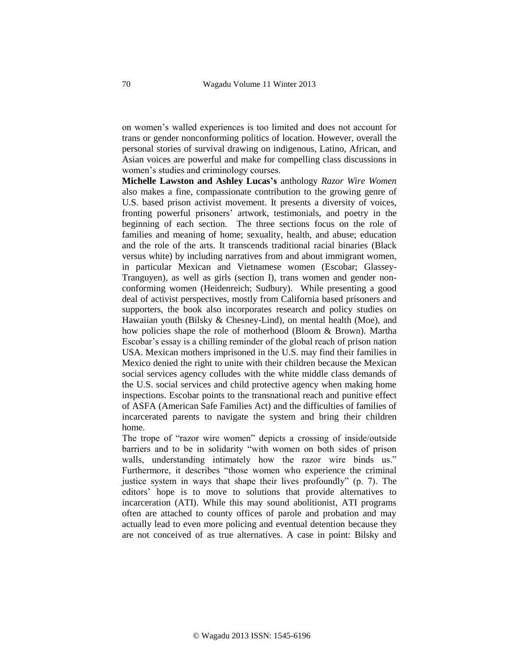on women's walled experiences is too limited and does not account for trans or gender nonconforming politics of location. However, overall the personal stories of survival drawing on indigenous, Latino, African, and Asian voices are powerful and make for compelling class discussions in women's studies and criminology courses.

**Michelle Lawston and Ashley Lucas's** anthology *Razor Wire Women* also makes a fine, compassionate contribution to the growing genre of U.S. based prison activist movement. It presents a diversity of voices, fronting powerful prisoners' artwork, testimonials, and poetry in the beginning of each section. The three sections focus on the role of families and meaning of home; sexuality, health, and abuse; education and the role of the arts. It transcends traditional racial binaries (Black versus white) by including narratives from and about immigrant women, in particular Mexican and Vietnamese women (Escobar; Glassey-Tranguyen), as well as girls (section I), trans women and gender nonconforming women (Heidenreich; Sudbury). While presenting a good deal of activist perspectives, mostly from California based prisoners and supporters, the book also incorporates research and policy studies on Hawaiian youth (Bilsky & Chesney-Lind), on mental health (Moe), and how policies shape the role of motherhood (Bloom & Brown). Martha Escobar's essay is a chilling reminder of the global reach of prison nation USA. Mexican mothers imprisoned in the U.S. may find their families in Mexico denied the right to unite with their children because the Mexican social services agency colludes with the white middle class demands of the U.S. social services and child protective agency when making home inspections. Escobar points to the transnational reach and punitive effect of ASFA (American Safe Families Act) and the difficulties of families of incarcerated parents to navigate the system and bring their children home.

The trope of "razor wire women" depicts a crossing of inside/outside barriers and to be in solidarity "with women on both sides of prison walls, understanding intimately how the razor wire binds us." Furthermore, it describes "those women who experience the criminal justice system in ways that shape their lives profoundly" (p. 7). The editors' hope is to move to solutions that provide alternatives to incarceration (ATI). While this may sound abolitionist, ATI programs often are attached to county offices of parole and probation and may actually lead to even more policing and eventual detention because they are not conceived of as true alternatives. A case in point: Bilsky and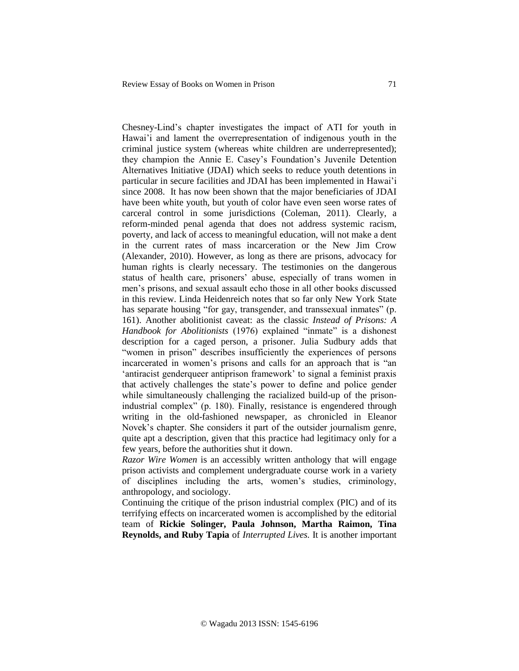Chesney-Lind's chapter investigates the impact of ATI for youth in Hawai'i and lament the overrepresentation of indigenous youth in the criminal justice system (whereas white children are underrepresented); they champion the Annie E. Casey's Foundation's Juvenile Detention Alternatives Initiative (JDAI) which seeks to reduce youth detentions in particular in secure facilities and JDAI has been implemented in Hawai'i since 2008. It has now been shown that the major beneficiaries of JDAI have been white youth, but youth of color have even seen worse rates of carceral control in some jurisdictions (Coleman, 2011). Clearly, a reform-minded penal agenda that does not address systemic racism, poverty, and lack of access to meaningful education, will not make a dent in the current rates of mass incarceration or the New Jim Crow (Alexander, 2010). However, as long as there are prisons, advocacy for human rights is clearly necessary. The testimonies on the dangerous status of health care, prisoners' abuse, especially of trans women in men's prisons, and sexual assault echo those in all other books discussed in this review. Linda Heidenreich notes that so far only New York State has separate housing "for gay, transgender, and transsexual inmates" (p. 161). Another abolitionist caveat: as the classic *Instead of Prisons: A Handbook for Abolitionists* (1976) explained "inmate" is a dishonest description for a caged person, a prisoner. Julia Sudbury adds that "women in prison" describes insufficiently the experiences of persons incarcerated in women's prisons and calls for an approach that is "an 'antiracist genderqueer antiprison framework' to signal a feminist praxis that actively challenges the state's power to define and police gender while simultaneously challenging the racialized build-up of the prisonindustrial complex" (p. 180). Finally, resistance is engendered through writing in the old-fashioned newspaper, as chronicled in Eleanor Novek's chapter. She considers it part of the outsider journalism genre, quite apt a description, given that this practice had legitimacy only for a few years, before the authorities shut it down.

*Razor Wire Women* is an accessibly written anthology that will engage prison activists and complement undergraduate course work in a variety of disciplines including the arts, women's studies, criminology, anthropology, and sociology.

Continuing the critique of the prison industrial complex (PIC) and of its terrifying effects on incarcerated women is accomplished by the editorial team of **Rickie Solinger, Paula Johnson, Martha Raimon, Tina Reynolds, and Ruby Tapia** of *Interrupted Lives.* It is another important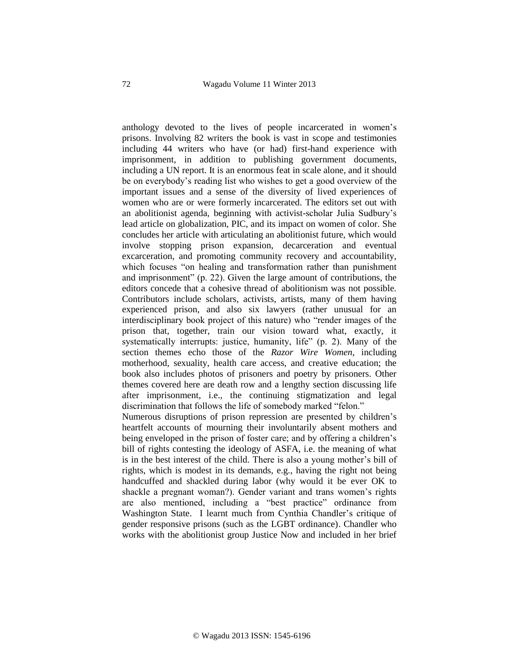anthology devoted to the lives of people incarcerated in women's prisons. Involving 82 writers the book is vast in scope and testimonies including 44 writers who have (or had) first-hand experience with imprisonment, in addition to publishing government documents, including a UN report. It is an enormous feat in scale alone, and it should be on everybody's reading list who wishes to get a good overview of the important issues and a sense of the diversity of lived experiences of women who are or were formerly incarcerated. The editors set out with an abolitionist agenda, beginning with activist-scholar Julia Sudbury's lead article on globalization, PIC, and its impact on women of color. She concludes her article with articulating an abolitionist future, which would involve stopping prison expansion, decarceration and eventual excarceration, and promoting community recovery and accountability, which focuses "on healing and transformation rather than punishment and imprisonment" (p. 22). Given the large amount of contributions, the editors concede that a cohesive thread of abolitionism was not possible. Contributors include scholars, activists, artists, many of them having experienced prison, and also six lawyers (rather unusual for an interdisciplinary book project of this nature) who "render images of the prison that, together, train our vision toward what, exactly, it systematically interrupts: justice, humanity, life" (p. 2). Many of the section themes echo those of the *Razor Wire Women*, including motherhood, sexuality, health care access, and creative education; the book also includes photos of prisoners and poetry by prisoners. Other themes covered here are death row and a lengthy section discussing life after imprisonment, i.e., the continuing stigmatization and legal discrimination that follows the life of somebody marked "felon." Numerous disruptions of prison repression are presented by children's

heartfelt accounts of mourning their involuntarily absent mothers and being enveloped in the prison of foster care; and by offering a children's bill of rights contesting the ideology of ASFA, i.e. the meaning of what is in the best interest of the child. There is also a young mother's bill of rights, which is modest in its demands, e.g., having the right not being handcuffed and shackled during labor (why would it be ever OK to shackle a pregnant woman?). Gender variant and trans women's rights are also mentioned, including a "best practice" ordinance from Washington State. I learnt much from Cynthia Chandler's critique of gender responsive prisons (such as the LGBT ordinance). Chandler who works with the abolitionist group Justice Now and included in her brief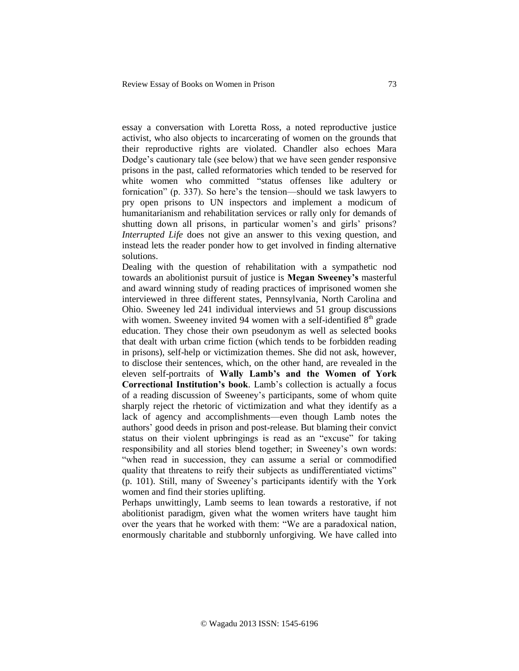essay a conversation with Loretta Ross, a noted reproductive justice activist, who also objects to incarcerating of women on the grounds that their reproductive rights are violated. Chandler also echoes Mara Dodge's cautionary tale (see below) that we have seen gender responsive prisons in the past, called reformatories which tended to be reserved for white women who committed "status offenses like adultery or fornication" (p. 337). So here's the tension—should we task lawyers to pry open prisons to UN inspectors and implement a modicum of humanitarianism and rehabilitation services or rally only for demands of shutting down all prisons, in particular women's and girls' prisons? *Interrupted Life* does not give an answer to this vexing question, and instead lets the reader ponder how to get involved in finding alternative solutions.

Dealing with the question of rehabilitation with a sympathetic nod towards an abolitionist pursuit of justice is **Megan Sweeney's** masterful and award winning study of reading practices of imprisoned women she interviewed in three different states, Pennsylvania, North Carolina and Ohio. Sweeney led 241 individual interviews and 51 group discussions with women. Sweeney invited 94 women with a self-identified  $8<sup>th</sup>$  grade education. They chose their own pseudonym as well as selected books that dealt with urban crime fiction (which tends to be forbidden reading in prisons), self-help or victimization themes. She did not ask, however, to disclose their sentences, which, on the other hand, are revealed in the eleven self-portraits of **Wally Lamb's and the Women of York Correctional Institution's book**. Lamb's collection is actually a focus of a reading discussion of Sweeney's participants, some of whom quite sharply reject the rhetoric of victimization and what they identify as a lack of agency and accomplishments—even though Lamb notes the authors' good deeds in prison and post-release. But blaming their convict status on their violent upbringings is read as an "excuse" for taking responsibility and all stories blend together; in Sweeney's own words: "when read in succession, they can assume a serial or commodified quality that threatens to reify their subjects as undifferentiated victims" (p. 101). Still, many of Sweeney's participants identify with the York women and find their stories uplifting.

Perhaps unwittingly, Lamb seems to lean towards a restorative, if not abolitionist paradigm, given what the women writers have taught him over the years that he worked with them: "We are a paradoxical nation, enormously charitable and stubbornly unforgiving. We have called into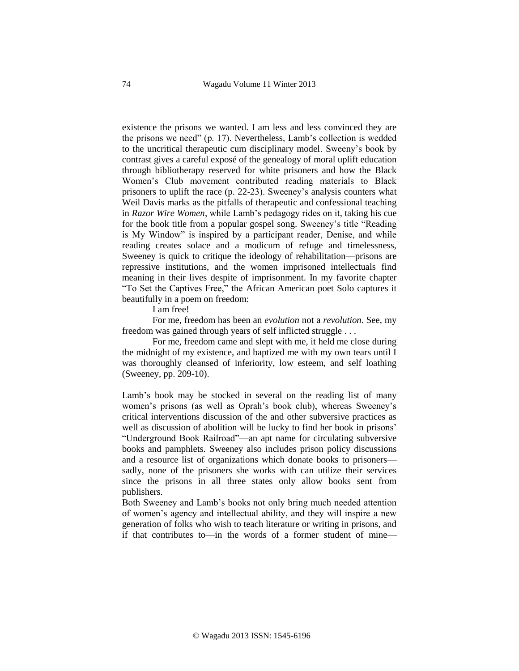existence the prisons we wanted. I am less and less convinced they are the prisons we need" (p. 17). Nevertheless, Lamb's collection is wedded to the uncritical therapeutic cum disciplinary model. Sweeny's book by contrast gives a careful exposé of the genealogy of moral uplift education through bibliotherapy reserved for white prisoners and how the Black Women's Club movement contributed reading materials to Black prisoners to uplift the race (p. 22-23). Sweeney's analysis counters what Weil Davis marks as the pitfalls of therapeutic and confessional teaching in *Razor Wire Women*, while Lamb's pedagogy rides on it, taking his cue for the book title from a popular gospel song. Sweeney's title "Reading is My Window" is inspired by a participant reader, Denise, and while reading creates solace and a modicum of refuge and timelessness, Sweeney is quick to critique the ideology of rehabilitation—prisons are repressive institutions, and the women imprisoned intellectuals find meaning in their lives despite of imprisonment. In my favorite chapter "To Set the Captives Free," the African American poet Solo captures it beautifully in a poem on freedom:

I am free!

For me, freedom has been an *evolution* not a *revolution*. See, my freedom was gained through years of self inflicted struggle . . .

For me, freedom came and slept with me, it held me close during the midnight of my existence, and baptized me with my own tears until I was thoroughly cleansed of inferiority, low esteem, and self loathing (Sweeney, pp. 209-10).

Lamb's book may be stocked in several on the reading list of many women's prisons (as well as Oprah's book club), whereas Sweeney's critical interventions discussion of the and other subversive practices as well as discussion of abolition will be lucky to find her book in prisons' "Underground Book Railroad"—an apt name for circulating subversive books and pamphlets. Sweeney also includes prison policy discussions and a resource list of organizations which donate books to prisoners sadly, none of the prisoners she works with can utilize their services since the prisons in all three states only allow books sent from publishers.

Both Sweeney and Lamb's books not only bring much needed attention of women's agency and intellectual ability, and they will inspire a new generation of folks who wish to teach literature or writing in prisons, and if that contributes to—in the words of a former student of mine—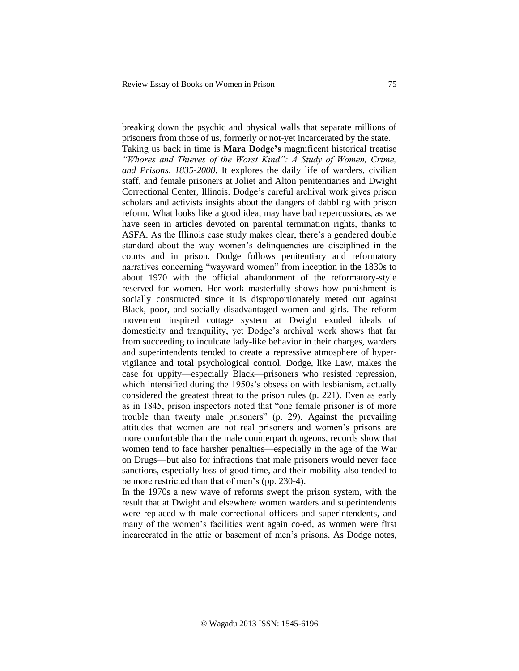breaking down the psychic and physical walls that separate millions of prisoners from those of us, formerly or not-yet incarcerated by the state. Taking us back in time is **Mara Dodge's** magnificent historical treatise *"Whores and Thieves of the Worst Kind": A Study of Women, Crime, and Prisons, 1835-2000*. It explores the daily life of warders, civilian staff, and female prisoners at Joliet and Alton penitentiaries and Dwight Correctional Center, Illinois. Dodge's careful archival work gives prison scholars and activists insights about the dangers of dabbling with prison reform. What looks like a good idea, may have bad repercussions, as we have seen in articles devoted on parental termination rights, thanks to ASFA. As the Illinois case study makes clear, there's a gendered double standard about the way women's delinquencies are disciplined in the courts and in prison. Dodge follows penitentiary and reformatory narratives concerning "wayward women" from inception in the 1830s to about 1970 with the official abandonment of the reformatory-style reserved for women. Her work masterfully shows how punishment is socially constructed since it is disproportionately meted out against Black, poor, and socially disadvantaged women and girls. The reform movement inspired cottage system at Dwight exuded ideals of domesticity and tranquility, yet Dodge's archival work shows that far from succeeding to inculcate lady-like behavior in their charges, warders and superintendents tended to create a repressive atmosphere of hypervigilance and total psychological control. Dodge, like Law, makes the case for uppity—especially Black—prisoners who resisted repression, which intensified during the 1950s's obsession with lesbianism, actually considered the greatest threat to the prison rules (p. 221). Even as early as in 1845, prison inspectors noted that "one female prisoner is of more trouble than twenty male prisoners" (p. 29). Against the prevailing attitudes that women are not real prisoners and women's prisons are more comfortable than the male counterpart dungeons, records show that women tend to face harsher penalties—especially in the age of the War on Drugs—but also for infractions that male prisoners would never face sanctions, especially loss of good time, and their mobility also tended to be more restricted than that of men's (pp. 230-4).

In the 1970s a new wave of reforms swept the prison system, with the result that at Dwight and elsewhere women warders and superintendents were replaced with male correctional officers and superintendents, and many of the women's facilities went again co-ed, as women were first incarcerated in the attic or basement of men's prisons. As Dodge notes,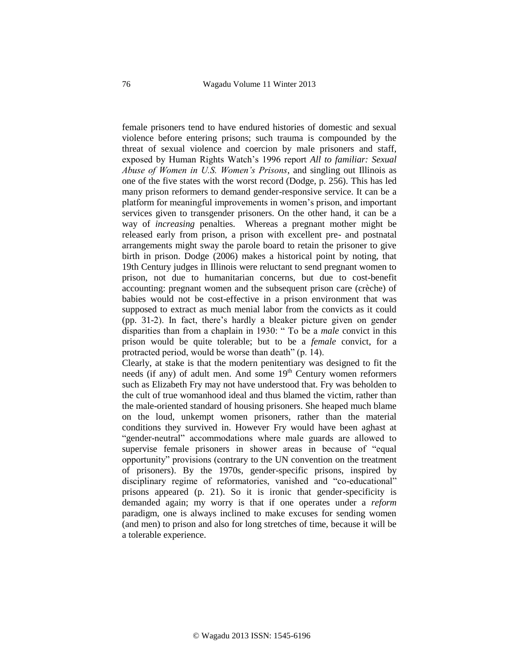female prisoners tend to have endured histories of domestic and sexual violence before entering prisons; such trauma is compounded by the threat of sexual violence and coercion by male prisoners and staff, exposed by Human Rights Watch's 1996 report *All to familiar: Sexual Abuse of Women in U.S. Women's Prisons*, and singling out Illinois as one of the five states with the worst record (Dodge, p. 256). This has led many prison reformers to demand gender-responsive service. It can be a platform for meaningful improvements in women's prison, and important services given to transgender prisoners. On the other hand, it can be a way of *increasing* penalties. Whereas a pregnant mother might be released early from prison, a prison with excellent pre- and postnatal arrangements might sway the parole board to retain the prisoner to give birth in prison. Dodge (2006) makes a historical point by noting, that 19th Century judges in Illinois were reluctant to send pregnant women to prison, not due to humanitarian concerns, but due to cost-benefit accounting: pregnant women and the subsequent prison care (crèche) of babies would not be cost-effective in a prison environment that was supposed to extract as much menial labor from the convicts as it could (pp. 31-2). In fact, there's hardly a bleaker picture given on gender disparities than from a chaplain in 1930: " To be a *male* convict in this prison would be quite tolerable; but to be a *female* convict, for a protracted period, would be worse than death" (p. 14).

Clearly, at stake is that the modern penitentiary was designed to fit the needs (if any) of adult men. And some  $19<sup>th</sup>$  Century women reformers such as Elizabeth Fry may not have understood that. Fry was beholden to the cult of true womanhood ideal and thus blamed the victim, rather than the male-oriented standard of housing prisoners. She heaped much blame on the loud, unkempt women prisoners, rather than the material conditions they survived in. However Fry would have been aghast at "gender-neutral" accommodations where male guards are allowed to supervise female prisoners in shower areas in because of "equal opportunity" provisions (contrary to the UN convention on the treatment of prisoners). By the 1970s, gender-specific prisons, inspired by disciplinary regime of reformatories, vanished and "co-educational" prisons appeared (p. 21). So it is ironic that gender-specificity is demanded again; my worry is that if one operates under a *reform* paradigm, one is always inclined to make excuses for sending women (and men) to prison and also for long stretches of time, because it will be a tolerable experience.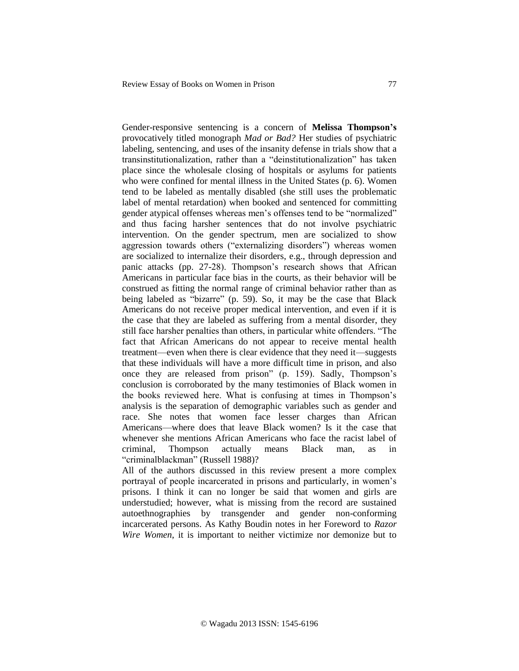Gender-responsive sentencing is a concern of **Melissa Thompson's** provocatively titled monograph *Mad or Bad?* Her studies of psychiatric labeling, sentencing, and uses of the insanity defense in trials show that a transinstitutionalization, rather than a "deinstitutionalization" has taken place since the wholesale closing of hospitals or asylums for patients who were confined for mental illness in the United States (p. 6). Women tend to be labeled as mentally disabled (she still uses the problematic label of mental retardation) when booked and sentenced for committing gender atypical offenses whereas men's offenses tend to be "normalized" and thus facing harsher sentences that do not involve psychiatric intervention. On the gender spectrum, men are socialized to show aggression towards others ("externalizing disorders") whereas women are socialized to internalize their disorders, e.g., through depression and panic attacks (pp. 27-28). Thompson's research shows that African Americans in particular face bias in the courts, as their behavior will be construed as fitting the normal range of criminal behavior rather than as being labeled as "bizarre" (p. 59). So, it may be the case that Black Americans do not receive proper medical intervention, and even if it is the case that they are labeled as suffering from a mental disorder, they still face harsher penalties than others, in particular white offenders. "The fact that African Americans do not appear to receive mental health treatment—even when there is clear evidence that they need it—suggests that these individuals will have a more difficult time in prison, and also once they are released from prison" (p. 159). Sadly, Thompson's conclusion is corroborated by the many testimonies of Black women in the books reviewed here. What is confusing at times in Thompson's analysis is the separation of demographic variables such as gender and race. She notes that women face lesser charges than African Americans—where does that leave Black women? Is it the case that whenever she mentions African Americans who face the racist label of criminal, Thompson actually means Black man, as in "criminalblackman" (Russell 1988)?

All of the authors discussed in this review present a more complex portrayal of people incarcerated in prisons and particularly, in women's prisons. I think it can no longer be said that women and girls are understudied; however, what is missing from the record are sustained autoethnographies by transgender and gender non-conforming incarcerated persons. As Kathy Boudin notes in her Foreword to *Razor Wire Women*, it is important to neither victimize nor demonize but to